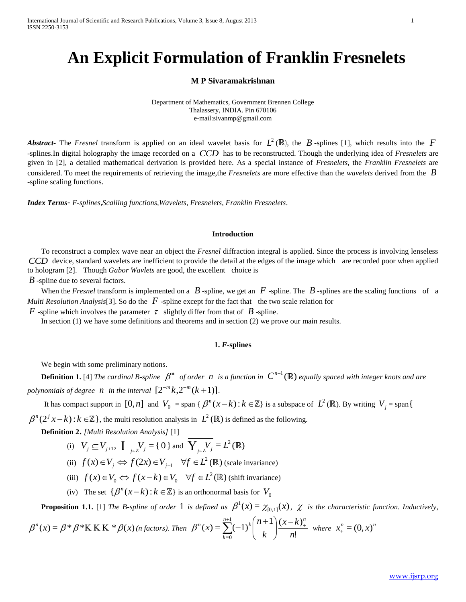# **An Explicit Formulation of Franklin Fresnelets**

## **M P Sivaramakrishnan**

Department of Mathematics, Government Brennen College Thalassery, INDIA. Pin 670106 e-mail:sivanmp@gmail.com

*Abstract*- The *Fresnel* transform is applied on an ideal wavelet basis for  $L^2(\mathbb{R})$ , the  $B$ -splines [1], which results into the  $F$ -splines.In digital holography the image recorded on a *CCD* has to be reconstructed. Though the underlying idea of *Fresnelets* are given in [2], a detailed mathematical derivation is provided here. As a special instance of *Fresnelets*, the *Franklin Fresnelets* are considered. To meet the requirements of retrieving the image,the *Fresnelets* are more effective than the *wavelets* derived from the *B* -spline scaling functions.

*Index Terms*- *F-splines,Scaliing functions,Wavelets, Fresnelets, Franklin Fresnelets*.

#### **Introduction**

To reconstruct a complex wave near an object the *Fresnel* diffraction integral is applied. Since the process is involving lenseless *CCD* device, standard wavelets are inefficient to provide the detail at the edges of the image which are recorded poor when applied to hologram [2]. Though *Gabor Wavlets* are good, the excellent choice is

*B* -spline due to several factors.

When the *Fresnel* transform is implemented on a  $B$  -spline, we get an  $F$  -spline. The  $B$  -splines are the scaling functions of a *Multi Resolution Analysis*<sup>[3]</sup>. So do the  $\hat{F}$  -spline except for the fact that the two scale relation for

*F* -spline which involves the parameter  $\tau$  slightly differ from that of  $B$  -spline.

In section (1) we have some definitions and theorems and in section (2) we prove our main results.

#### **1.** *F***-splines**

We begin with some preliminary notions.

**Definition 1.** [4] *The cardinal B-spline*  $\beta^n$  *of order n* is a function in  $C^{n-1}(\mathbb{R})$  equally spaced with integer knots and are polynomials of degree  $n$  in the interval  $[2^{-m}k, 2^{-m}(k+1)]$ .

It has compact support in  $[0,n]$  and  $V_0 =$  span {  $\beta^n(x-k): k \in \mathbb{Z}$ } is a subspace of  $L^2(\mathbb{R})$ . By writing  $V_j =$  span{

 $\beta^{n}(2^{j}x-k)$ :  $k \in \mathbb{Z}$ , the multi resolution analysis in  $L^{2}(\mathbb{R})$  is defined as the following.

**Definition 2.** *[Multi Resolution Analysis]* [1]

- (i)  $V_j \subseteq V_{j+1}$ ,  $\iint_{j \in \mathbb{Z}} V_j = \{0\}$  and  $\overline{Y_{j \in \mathbb{Z}} V_j} = L^2$  $\overline{Y_{j\in\mathbb{Z}}V_j} = L^2(\mathbb{R})$
- (ii)  $f(x) \in V_i \Leftrightarrow f(2x) \in V_{i+1}$   $\forall f \in L^2$  $f(x) \in V_j \Leftrightarrow f(2x) \in V_{j+1}$   $\forall f \in L^2(\mathbb{R})$  (scale invariance)
- (iii)  $f(x) \in V_0 \Leftrightarrow f(x-k) \in V_0 \quad \forall f \in L^2$  $f(x) \in V_0 \Leftrightarrow f(x-k) \in V_0 \quad \forall f \in L^2(\mathbb{R})$  (shift invariance)
- (iv) The set  $\{\beta^n(x-k) : k \in \mathbb{Z}\}\$  is an orthonormal basis for  $V_0$

**Proposition 1.1.** [1] *The B-spline of order* 1 *is defined as*  $\beta^1(x) = \chi_{[0,1]}(x)$  $\beta^1(x) = \chi_{[0,1]}(x)$ ,  $\chi$  is the characteristic function. Inductively,

$$
\beta^{n}(x) = \beta * \beta * K K K * \beta(x) \text{ (n factors). Then } \beta^{n}(x) = \sum_{k=0}^{n+1} (-1)^{k} {n+1 \choose k} \frac{(x-k)_{+}^{n}}{n!} \text{ where } x_{+}^{n} = (0, x)^{n}
$$

www.ijsrp.org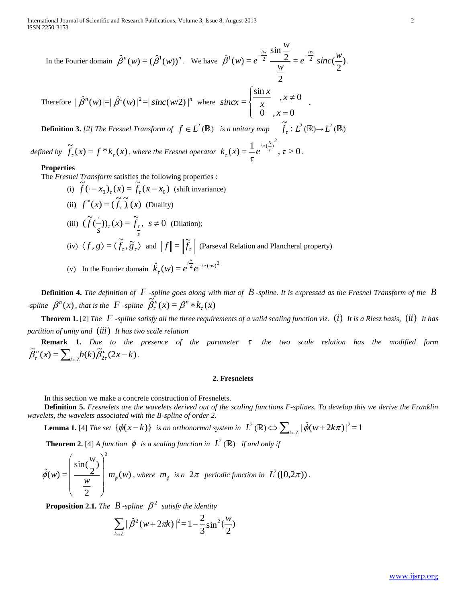In the Fourier domain 
$$
\hat{\beta}^n(w) = (\hat{\beta}^1(w))^n
$$
. We have  $\hat{\beta}^1(w) = e^{\frac{-iw}{2}} \frac{\sin \frac{w}{2}}{\frac{w}{2}} = e^{\frac{-iw}{2}} sinc(\frac{w}{2})$ .

*w*

Therefore  $|\hat{\beta}^n(w)| = |\hat{\beta}^1(w)|^2 = |\text{sinc}(w/2)|^n$  where  $\overline{\mathcal{L}}$  $\mathbf{I}$ ┤  $\left\{ \right\}$  $=$  $\neq$ 0,  $x = 0$  $\frac{\sin x}{x}, x \neq 0$ = *x x x x*  $sincx = \left\{\frac{1}{x}, x \neq 0\right\}$ .

**Definition 3.** [2] The Fresnel Transform of  $f \in L^2(\mathbb{R})$  is a unitary map  $\widetilde{f}_r$ :  $\widetilde{f}_\tau : L^2(\mathbb{R}) {\rightarrow} L^2(\mathbb{R})$ 

*defined by*  $\widetilde{f}_{\tau}(x) = f * k_{\tau}(x)$ , where the Fresnel operator  $k_{\tau}(x) = \frac{1}{\tau} e^{i\pi(\frac{x}{\tau})^2}$ ,  $\tau > 0$  $\left( \frac{x}{2} \right)^2$ τ τ  $\pi$ ( $\frac{\tau}{\tau}$ τ  $k_{\tau}(x) = \frac{1}{e^{i\pi(\frac{x}{\tau})^2}}, \tau > 0.$ 

### **Properties**

The *Fresnel Transform* satisfies the following properties :

(i)  $\tilde{f}(-x_0)_\tau(x) = \tilde{f}_\tau(x-x_0)$  $\hat{f}(-x_0)_\tau(x) = \hat{f}_\tau(x - x_0)$  (shift invariance) (ii)  $f^*(x) = (\tilde{f}_\tau) \tilde{f}_\tau(x)$  (Duality) (iii)  $(\tilde{f}(-))_{\tau}(x) = \tilde{f}_{\tau}, s \neq 0$ *s f*  $f_{\tau}(x) = f_{\tau}$ ,  $s \neq 0$  (Dilation); (iv)  $\langle f, g \rangle = \langle \tilde{f}_r, \tilde{g}_r \rangle$  and  $||f|| = ||\tilde{f}_r||$  (Parseval Relation and Plancheral property) (v) In the Fourier domain  $\hat{k}_{\tau}(w) = e^{i\frac{\hat{\pi}}{4}}e^{-i\pi(w)^2}$ π  $\int_{\tau}^{\infty}(w) = e^{i\frac{\tau}{4}}e^{-i\tau}$ 

**Definition 4.** *The definition of F -spline goes along with that of B -spline. It is expressed as the Fresnel Transform of the B spline*  $\beta^{n}(x)$ , that is the *F -spline*  $\tilde{\beta}^{n}_{\tau}(x) = \beta^{n} * k_{\tau}(x)$ 

**Theorem 1.** [2] *The F -spline satisfy all the three requirements of a valid scaling function viz.*  (*i*) *It is a Riesz basis,*  (*ii*) *It has partition of unity and*  (*iii*) *It has two scale relation*

**Remark 1.** *Due to the presence of the parameter the two scale relation has the modified form*   $\widetilde{\beta}_r^n(x) = \sum_{k=1}^n h(k) \widetilde{\beta}_{2r}^n(2x-k)$  $f(x) = \sum_{k \in \mathbb{Z}} h(k) \widetilde{\beta}_{2\tau}^{n}(2x - k)$  $\widetilde{\beta}_{\tau}^n(x) = \sum_{k \in \mathbb{Z}} h(k) \widetilde{\beta}_{2\tau}^n(2x-k).$ 

#### **2. Fresnelets**

In this section we make a concrete construction of Fresnelets.

**Definition 5.** *Fresnelets are the wavelets derived out of the scaling functions F-splines. To develop this we derive the Franklin wavelets, the wavelets associated with the B-spline of order 2.*

**Lemma 1.** [4] *The set*  $\{\phi(x-k)\}\$  *is an orthonormal system in*  $L^2(\mathbb{R}) \Leftrightarrow \sum_{k \in \mathbb{Z}} |\hat{\phi}(w+2k\pi)|^2 = 1$ 

**Theorem 2.** [4] *A function*  $\phi$  *is a scaling function in*  $L^2(\mathbb{R})$  *if and only if* 

$$
\hat{\phi}(w) = \left(\frac{\sin(\frac{w}{2})}{\frac{w}{2}}\right)^2 m_{\phi}(w), \text{ where } m_{\phi} \text{ is a } 2\pi \text{ periodic function in } L^2([0, 2\pi)).
$$

**Proposition 2.1.** *The*  $B$  *-spline*  $\beta^2$  *satisfy the identity* 

$$
\sum_{k \in \mathbb{Z}} |\hat{\beta}^2(w + 2\pi k)|^2 = 1 - \frac{2}{3} \sin^2(\frac{w}{2})
$$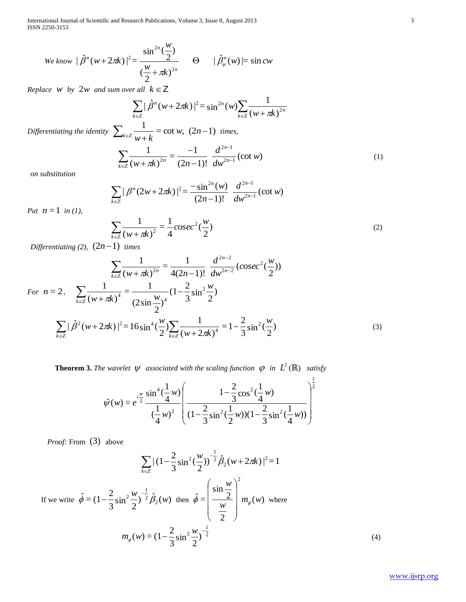International Journal of Scientific and Research Publications, Volume 3, Issue 8, August 2013 3 ISSN 2250-3153

$$
\text{We know } |\hat{\beta}^n(w+2\pi k)|^2 = \frac{\sin^{2n}(\frac{w}{2})}{(\frac{w}{2}+\pi k)^{2n}} \qquad \Theta \qquad |\hat{\beta}^n_\psi(w)| = \sin cw
$$

*Replace W by* 2*w and sum over all*  $k \in \mathbb{Z}$ 

 $\sum_{k\in\mathbb{Z}}(w+\pi k)^{2n}$  $\sum_{k\in\mathbb{Z}}|\hat{\beta}^n(w+2\pi k)|^2=\sin^{2n}(w)\sum_{k\in\mathbb{Z}}\frac{1}{(w+\pi k)^2}$  $(w + \pi k)$  $\sum_{k \in \mathbb{Z}} |\hat{\beta}^n(w + 2\pi k)|^2 = \sin^{2n}(w) \sum_{k \in \mathbb{Z}} \frac{1}{(w + \pi i)^2}$ *Differentiating the identity*  $\sum_{n=1}^{\infty} \frac{1}{n}$  = cot w,  $(2n-1)$  $\sum_{k \in \mathbb{Z}} \frac{1}{w+k} = \cot w$ , (2*n*)  $\frac{1}{w+k}$  = cot w,  $(2n-1)$  times,  $\sum \frac{1}{(x-1)^2} = \frac{1}{(x-1)^2} \frac{u}{x^2-1}$  (cot w)  $(2n-1)!$  $=\frac{-1}{1}$  $(w + \pi k)$ 1  $2n-1$  $2n-1$  $\frac{1}{2n} = \frac{1}{(2n-1)!} \frac{u}{dw^{2n-1}} (\cot w)$ *d*  $(w + \pi k)^{2n}$  (2n-1)!  $dw^{2n}$ *n*  $\sum_{k\in\mathbb{Z}}(w+\pi k)^{2n}$  (2n-1)!  $dw^{2n-1}$  $\overline{a}$  $\sum_{n\in\mathbb{Z}}(w+\pi k)^{2n}$   $(2n-\pi)$ - $\sum_{k \in \mathbb{Z}} \frac{1}{(w + \pi i)}$  $\left(1\right)$ 

 $n_{(11)}$   $2\pi k$ <sup>2</sup>  $^{2}$   $\pi^{2n}$ 

*on substitution* 

$$
\sum_{k\in\mathbb{Z}}|\beta^{n}(2w+2\pi k)|^{2}=\frac{-\sin^{2n}(w)}{(2n-1)!}\frac{d^{2n-1}}{dw^{2n-1}}(\cot w)
$$

*Put*  $n = 1$  *in (1),* 

$$
\sum_{k \in \mathbb{Z}} \frac{1}{(w + \pi k)^2} = \frac{1}{4} \csc^2(\frac{w}{2})
$$
 (2)

1

*Differentiating* (2),  $(2n-1)$  *times* 

$$
\sum_{k \in \mathbb{Z}} \frac{1}{(w + \pi k)^{2n}} = \frac{1}{4(2n - 1)!} \frac{d^{2n - 2}}{dw^{2n - 2}} (cosec^2(\frac{w}{2}))
$$
  
For  $n = 2$ , 
$$
\sum_{k \in \mathbb{Z}} \frac{1}{(w + \pi k)^4} = \frac{1}{(2 \sin \frac{w}{2})^4} (1 - \frac{2}{3} \sin^2 \frac{w}{2})
$$

$$
\sum_{k \in \mathbb{Z}} |\hat{\beta}^2 (w + 2\pi k)|^2 = 16 \sin^4(\frac{w}{2}) \sum_{k \in \mathbb{Z}} \frac{1}{(w + 2\pi k)^4} = 1 - \frac{2}{3} \sin^2(\frac{w}{2})
$$
(3)

**Theorem 3.** The wavelet  $\psi$  associated with the scaling function  $\varphi$  in  $L^2(\mathbb{R})$  satisfy

$$
\hat{\psi}(w) = e^{i\frac{w}{2}} \frac{\sin^4(\frac{1}{4}w)}{(\frac{1}{4}w)^2} \left( \frac{1 - \frac{2}{3}\cos^2(\frac{1}{4}w)}{(1 - \frac{2}{3}\sin^2(\frac{1}{2}w))(1 - \frac{2}{3}\sin^2(\frac{1}{4}w))} \right)^{\frac{1}{2}}
$$

*Proof:* From (3) above

$$
\sum_{k \in \mathbb{Z}} |(1 - \frac{2}{3}\sin^2(\frac{w}{2}))^{-\frac{1}{2}} \hat{\beta}_2(w + 2\pi k)|^2 = 1
$$
  
If we write  $\hat{\phi} = (1 - \frac{2}{3}\sin^2\frac{w}{2})^{-\frac{1}{2}} \hat{\beta}_2(w)$  then  $\hat{\phi} = \left(\frac{\sin\frac{w}{2}}{\frac{w}{2}}\right)^2 m_{\phi}(w)$  where  

$$
m_{\phi}(w) = (1 - \frac{2}{3}\sin^2\frac{w}{2})^{-\frac{1}{2}}
$$
(4)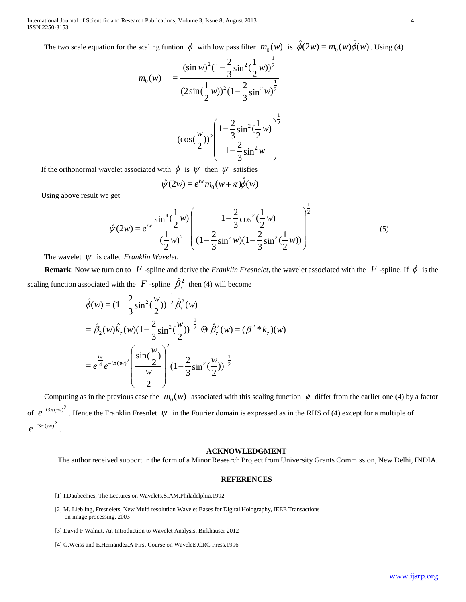International Journal of Scientific and Research Publications, Volume 3, Issue 8, August 2013 4 ISSN 2250-3153

The two scale equation for the scaling funtion  $\phi$  with low pass filter  $m_0(w)$  is  $\hat{\phi}(2w) = m_0(w)\hat{\phi}(w)$ . Using (4)

$$
m_0(w) = \frac{(\sin w)^2 (1 - \frac{2}{3} \sin^2(\frac{1}{2} w))^{\frac{1}{2}}}{(2 \sin(\frac{1}{2} w))^2 (1 - \frac{2}{3} \sin^2(w))^{\frac{1}{2}}}
$$
  
=  $(\cos(\frac{w}{2}))^2 \left(\frac{1 - \frac{2}{3} \sin^2(\frac{1}{2} w)}{1 - \frac{2}{3} \sin^2(w)}\right)^{\frac{1}{2}}$ 

If the orthonormal wavelet associated with  $\phi$  is  $\psi$  then  $\psi$  satisfies

$$
\hat{\psi}(2w) = e^{iw} \overline{m_0(w+\pi)} \hat{\phi}(w)
$$

Using above result we get

$$
\hat{\psi}(2w) = e^{iw} \frac{\sin^4(\frac{1}{2}w)}{(\frac{1}{2}w)^2} \left( \frac{1 - \frac{2}{3}\cos^2(\frac{1}{2}w)}{(1 - \frac{2}{3}\sin^2(w)(1 - \frac{2}{3}\sin^2(\frac{1}{2}w)))} \right)^2
$$
(5)

1

The wavelet  $\psi$  is called *Franklin Wavelet*.

**Remark**: Now we turn on to  $F$  -spline and derive the *Franklin Fresnelet*, the wavelet associated with the  $F$  -spline. If  $\phi$  is the scaling function associated with the  $F$ -spline  $\hat{\beta}_\tau^2$  then (4) will become

$$
\hat{\phi}(w) = (1 - \frac{2}{3}\sin^2(\frac{w}{2}))^{-\frac{1}{2}} \hat{\beta}_\tau^2(w)
$$
\n
$$
= \hat{\beta}_2(w)\hat{k}_\tau(w)(1 - \frac{2}{3}\sin^2(\frac{w}{2}))^{-\frac{1}{2}} \Theta \hat{\beta}_\tau^2(w) = (\beta^2 * k_\tau)(w)
$$
\n
$$
= e^{\frac{i\pi}{4}} e^{-i\pi(w)^2} \left( \frac{\sin(\frac{w}{2})}{\frac{w}{2}} \right)^2 (1 - \frac{2}{3}\sin^2(\frac{w}{2}))^{-\frac{1}{2}}
$$

Computing as in the previous case the  $m_0(w)$  associated with this scaling function  $\phi$  differ from the earlier one (4) by a factor of  $e^{-i3\pi(w)^2}$ . Hence the Franklin Fresnlet  $\psi$  in the Fourier domain is expressed as in the RHS of (4) except for a multiple of  $e^{-i3\pi (w)^2}$ .

## **ACKNOWLEDGMENT**

The author received support in the form of a Minor Research Project from University Grants Commission, New Delhi, INDIA.

#### **REFERENCES**

- [1] I.Daubechies, The Lectures on Wavelets,SIAM,Philadelphia,1992
- [2] M. Liebling, Fresnelets, New Multi resolution Wavelet Bases for Digital Holography, IEEE Transactions on image processing, 2003
- [3] David F Walnut, An Introduction to Wavelet Analysis, Birkhauser 2012
- [4] G.Weiss and E.Hernandez,A First Course on Wavelets,CRC Press,1996